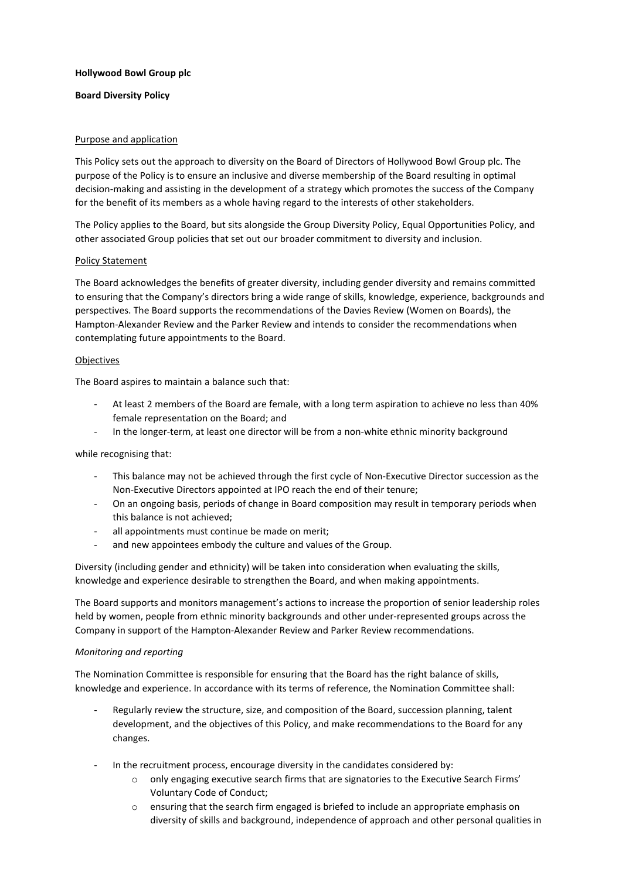# **Hollywood Bowl Group plc**

# **Board Diversity Policy**

# Purpose and application

This Policy sets out the approach to diversity on the Board of Directors of Hollywood Bowl Group plc. The purpose of the Policy is to ensure an inclusive and diverse membership of the Board resulting in optimal decision-making and assisting in the development of a strategy which promotes the success of the Company for the benefit of its members as a whole having regard to the interests of other stakeholders.

The Policy applies to the Board, but sits alongside the Group Diversity Policy, Equal Opportunities Policy, and other associated Group policies that set out our broader commitment to diversity and inclusion.

## Policy Statement

The Board acknowledges the benefits of greater diversity, including gender diversity and remains committed to ensuring that the Company's directors bring a wide range of skills, knowledge, experience, backgrounds and perspectives. The Board supports the recommendations of the Davies Review (Women on Boards), the Hampton-Alexander Review and the Parker Review and intends to consider the recommendations when contemplating future appointments to the Board.

## Objectives

The Board aspires to maintain a balance such that:

- At least 2 members of the Board are female, with a long term aspiration to achieve no less than 40% female representation on the Board; and
- In the longer-term, at least one director will be from a non-white ethnic minority background

while recognising that:

- This balance may not be achieved through the first cycle of Non-Executive Director succession as the Non-Executive Directors appointed at IPO reach the end of their tenure;
- On an ongoing basis, periods of change in Board composition may result in temporary periods when this balance is not achieved;
- all appointments must continue be made on merit;
- and new appointees embody the culture and values of the Group.

Diversity (including gender and ethnicity) will be taken into consideration when evaluating the skills, knowledge and experience desirable to strengthen the Board, and when making appointments.

The Board supports and monitors management's actions to increase the proportion of senior leadership roles held by women, people from ethnic minority backgrounds and other under-represented groups across the Company in support of the Hampton-Alexander Review and Parker Review recommendations.

#### *Monitoring and reporting*

The Nomination Committee is responsible for ensuring that the Board has the right balance of skills, knowledge and experience. In accordance with its terms of reference, the Nomination Committee shall:

- Regularly review the structure, size, and composition of the Board, succession planning, talent development, and the objectives of this Policy, and make recommendations to the Board for any changes.
- In the recruitment process, encourage diversity in the candidates considered by:
	- o only engaging executive search firms that are signatories to the Executive Search Firms' Voluntary Code of Conduct;
	- $\circ$  ensuring that the search firm engaged is briefed to include an appropriate emphasis on diversity of skills and background, independence of approach and other personal qualities in